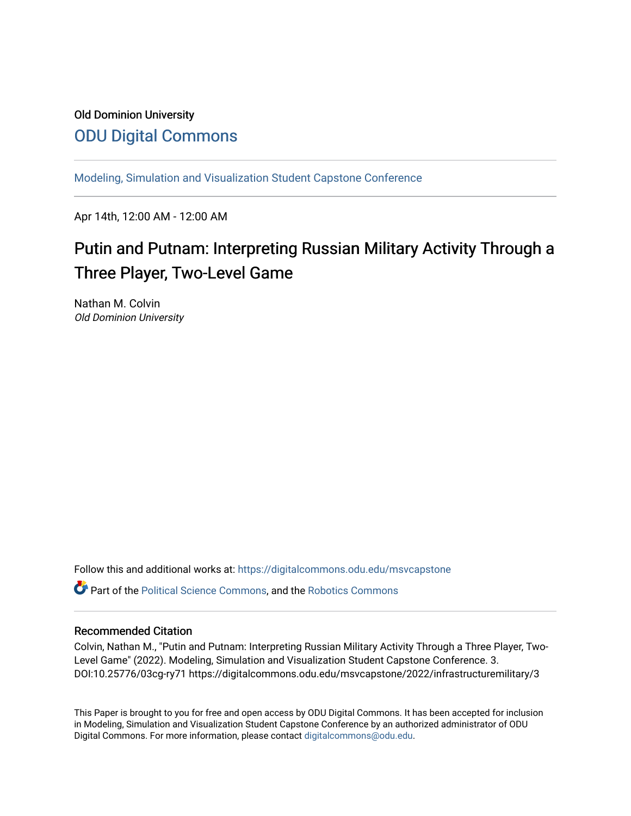## Old Dominion University [ODU Digital Commons](https://digitalcommons.odu.edu/)

[Modeling, Simulation and Visualization Student Capstone Conference](https://digitalcommons.odu.edu/msvcapstone) 

Apr 14th, 12:00 AM - 12:00 AM

# Putin and Putnam: Interpreting Russian Military Activity Through a Three Player, Two-Level Game

Nathan M. Colvin Old Dominion University

Follow this and additional works at: [https://digitalcommons.odu.edu/msvcapstone](https://digitalcommons.odu.edu/msvcapstone?utm_source=digitalcommons.odu.edu%2Fmsvcapstone%2F2022%2Finfrastructuremilitary%2F3&utm_medium=PDF&utm_campaign=PDFCoverPages) 

Part of the [Political Science Commons,](http://network.bepress.com/hgg/discipline/386?utm_source=digitalcommons.odu.edu%2Fmsvcapstone%2F2022%2Finfrastructuremilitary%2F3&utm_medium=PDF&utm_campaign=PDFCoverPages) and the [Robotics Commons](http://network.bepress.com/hgg/discipline/264?utm_source=digitalcommons.odu.edu%2Fmsvcapstone%2F2022%2Finfrastructuremilitary%2F3&utm_medium=PDF&utm_campaign=PDFCoverPages) 

## Recommended Citation

Colvin, Nathan M., "Putin and Putnam: Interpreting Russian Military Activity Through a Three Player, Two-Level Game" (2022). Modeling, Simulation and Visualization Student Capstone Conference. 3. DOI:10.25776/03cg-ry71 https://digitalcommons.odu.edu/msvcapstone/2022/infrastructuremilitary/3

This Paper is brought to you for free and open access by ODU Digital Commons. It has been accepted for inclusion in Modeling, Simulation and Visualization Student Capstone Conference by an authorized administrator of ODU Digital Commons. For more information, please contact [digitalcommons@odu.edu.](mailto:digitalcommons@odu.edu)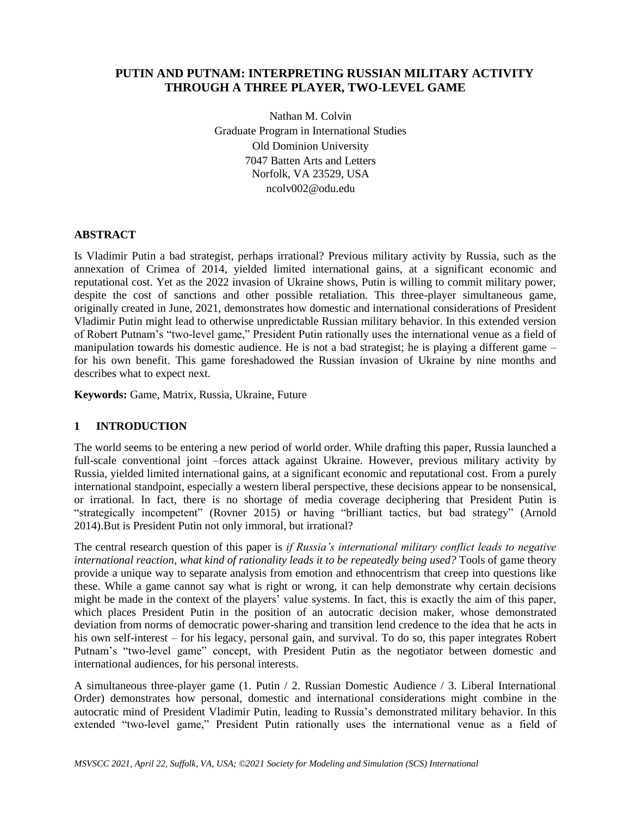## **PUTIN AND PUTNAM: INTERPRETING RUSSIAN MILITARY ACTIVITY THROUGH A THREE PLAYER, TWO-LEVEL GAME**

Nathan M. Colvin Graduate Program in International Studies Old Dominion University 7047 Batten Arts and Letters Norfolk, VA 23529, USA ncolv002@odu.edu

## **ABSTRACT**

Is Vladimir Putin a bad strategist, perhaps irrational? Previous military activity by Russia, such as the annexation of Crimea of 2014, yielded limited international gains, at a significant economic and reputational cost. Yet as the 2022 invasion of Ukraine shows, Putin is willing to commit military power, despite the cost of sanctions and other possible retaliation. This three-player simultaneous game, originally created in June, 2021, demonstrates how domestic and international considerations of President Vladimir Putin might lead to otherwise unpredictable Russian military behavior. In this extended version of Robert Putnam's "two-level game," President Putin rationally uses the international venue as a field of manipulation towards his domestic audience. He is not a bad strategist; he is playing a different game – for his own benefit. This game foreshadowed the Russian invasion of Ukraine by nine months and describes what to expect next.

**Keywords:** Game, Matrix, Russia, Ukraine, Future

## **1 INTRODUCTION**

The world seems to be entering a new period of world order. While drafting this paper, Russia launched a full-scale conventional joint –forces attack against Ukraine. However, previous military activity by Russia, yielded limited international gains, at a significant economic and reputational cost. From a purely international standpoint, especially a western liberal perspective, these decisions appear to be nonsensical, or irrational. In fact, there is no shortage of media coverage deciphering that President Putin is "strategically incompetent" (Rovner 2015) or having "brilliant tactics, but bad strategy" (Arnold 2014).But is President Putin not only immoral, but irrational?

The central research question of this paper is *if Russia's international military conflict leads to negative international reaction, what kind of rationality leads it to be repeatedly being used?* Tools of game theory provide a unique way to separate analysis from emotion and ethnocentrism that creep into questions like these. While a game cannot say what is right or wrong, it can help demonstrate why certain decisions might be made in the context of the players' value systems. In fact, this is exactly the aim of this paper, which places President Putin in the position of an autocratic decision maker, whose demonstrated deviation from norms of democratic power-sharing and transition lend credence to the idea that he acts in his own self-interest – for his legacy, personal gain, and survival. To do so, this paper integrates Robert Putnam's "two-level game" concept, with President Putin as the negotiator between domestic and international audiences, for his personal interests.

A simultaneous three-player game (1. Putin / 2. Russian Domestic Audience / 3. Liberal International Order) demonstrates how personal, domestic and international considerations might combine in the autocratic mind of President Vladimir Putin, leading to Russia's demonstrated military behavior. In this extended "two-level game," President Putin rationally uses the international venue as a field of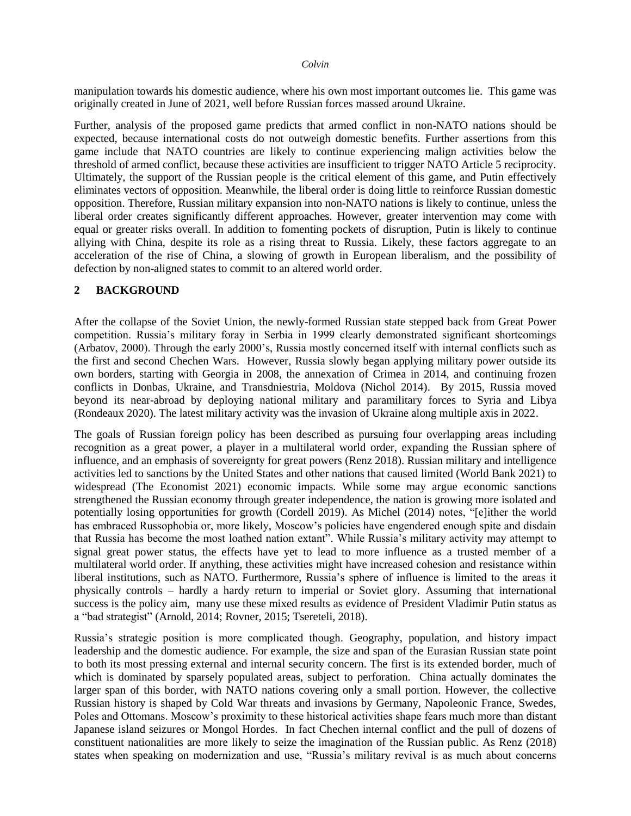manipulation towards his domestic audience, where his own most important outcomes lie. This game was originally created in June of 2021, well before Russian forces massed around Ukraine.

Further, analysis of the proposed game predicts that armed conflict in non-NATO nations should be expected, because international costs do not outweigh domestic benefits. Further assertions from this game include that NATO countries are likely to continue experiencing malign activities below the threshold of armed conflict, because these activities are insufficient to trigger NATO Article 5 reciprocity. Ultimately, the support of the Russian people is the critical element of this game, and Putin effectively eliminates vectors of opposition. Meanwhile, the liberal order is doing little to reinforce Russian domestic opposition. Therefore, Russian military expansion into non-NATO nations is likely to continue, unless the liberal order creates significantly different approaches. However, greater intervention may come with equal or greater risks overall. In addition to fomenting pockets of disruption, Putin is likely to continue allying with China, despite its role as a rising threat to Russia. Likely, these factors aggregate to an acceleration of the rise of China, a slowing of growth in European liberalism, and the possibility of defection by non-aligned states to commit to an altered world order.

## **2 BACKGROUND**

After the collapse of the Soviet Union, the newly-formed Russian state stepped back from Great Power competition. Russia's military foray in Serbia in 1999 clearly demonstrated significant shortcomings (Arbatov, 2000). Through the early 2000's, Russia mostly concerned itself with internal conflicts such as the first and second Chechen Wars. However, Russia slowly began applying military power outside its own borders, starting with Georgia in 2008, the annexation of Crimea in 2014, and continuing frozen conflicts in Donbas, Ukraine, and Transdniestria, Moldova (Nichol 2014). By 2015, Russia moved beyond its near-abroad by deploying national military and paramilitary forces to Syria and Libya (Rondeaux 2020). The latest military activity was the invasion of Ukraine along multiple axis in 2022.

The goals of Russian foreign policy has been described as pursuing four overlapping areas including recognition as a great power, a player in a multilateral world order, expanding the Russian sphere of influence, and an emphasis of sovereignty for great powers (Renz 2018). Russian military and intelligence activities led to sanctions by the United States and other nations that caused limited (World Bank 2021) to widespread (The Economist 2021) economic impacts. While some may argue economic sanctions strengthened the Russian economy through greater independence, the nation is growing more isolated and potentially losing opportunities for growth (Cordell 2019). As Michel (2014) notes, "[e]ither the world has embraced Russophobia or, more likely, Moscow's policies have engendered enough spite and disdain that Russia has become the most loathed nation extant". While Russia's military activity may attempt to signal great power status, the effects have yet to lead to more influence as a trusted member of a multilateral world order. If anything, these activities might have increased cohesion and resistance within liberal institutions, such as NATO. Furthermore, Russia's sphere of influence is limited to the areas it physically controls – hardly a hardy return to imperial or Soviet glory. Assuming that international success is the policy aim, many use these mixed results as evidence of President Vladimir Putin status as a "bad strategist" (Arnold, 2014; Rovner, 2015; Tsereteli, 2018).

Russia's strategic position is more complicated though. Geography, population, and history impact leadership and the domestic audience. For example, the size and span of the Eurasian Russian state point to both its most pressing external and internal security concern. The first is its extended border, much of which is dominated by sparsely populated areas, subject to perforation. China actually dominates the larger span of this border, with NATO nations covering only a small portion. However, the collective Russian history is shaped by Cold War threats and invasions by Germany, Napoleonic France, Swedes, Poles and Ottomans. Moscow's proximity to these historical activities shape fears much more than distant Japanese island seizures or Mongol Hordes. In fact Chechen internal conflict and the pull of dozens of constituent nationalities are more likely to seize the imagination of the Russian public. As Renz (2018) states when speaking on modernization and use, "Russia's military revival is as much about concerns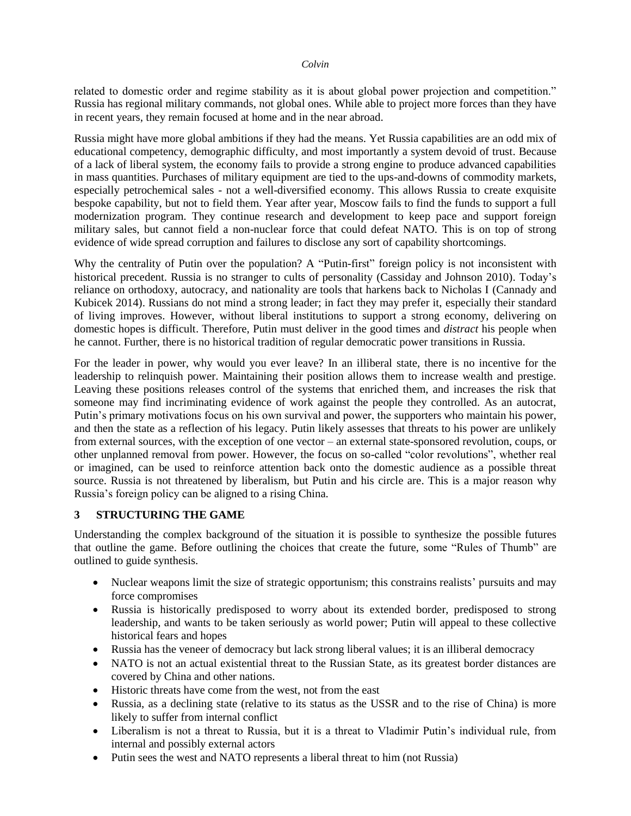related to domestic order and regime stability as it is about global power projection and competition." Russia has regional military commands, not global ones. While able to project more forces than they have in recent years, they remain focused at home and in the near abroad.

Russia might have more global ambitions if they had the means. Yet Russia capabilities are an odd mix of educational competency, demographic difficulty, and most importantly a system devoid of trust. Because of a lack of liberal system, the economy fails to provide a strong engine to produce advanced capabilities in mass quantities. Purchases of military equipment are tied to the ups-and-downs of commodity markets, especially petrochemical sales - not a well-diversified economy. This allows Russia to create exquisite bespoke capability, but not to field them. Year after year, Moscow fails to find the funds to support a full modernization program. They continue research and development to keep pace and support foreign military sales, but cannot field a non-nuclear force that could defeat NATO. This is on top of strong evidence of wide spread corruption and failures to disclose any sort of capability shortcomings.

Why the centrality of Putin over the population? A "Putin-first" foreign policy is not inconsistent with historical precedent. Russia is no stranger to cults of personality (Cassiday and Johnson 2010). Today's reliance on orthodoxy, autocracy, and nationality are tools that harkens back to Nicholas I (Cannady and Kubicek 2014). Russians do not mind a strong leader; in fact they may prefer it, especially their standard of living improves. However, without liberal institutions to support a strong economy, delivering on domestic hopes is difficult. Therefore, Putin must deliver in the good times and *distract* his people when he cannot. Further, there is no historical tradition of regular democratic power transitions in Russia.

For the leader in power, why would you ever leave? In an illiberal state, there is no incentive for the leadership to relinquish power. Maintaining their position allows them to increase wealth and prestige. Leaving these positions releases control of the systems that enriched them, and increases the risk that someone may find incriminating evidence of work against the people they controlled. As an autocrat, Putin's primary motivations focus on his own survival and power, the supporters who maintain his power, and then the state as a reflection of his legacy. Putin likely assesses that threats to his power are unlikely from external sources, with the exception of one vector – an external state-sponsored revolution, coups, or other unplanned removal from power. However, the focus on so-called "color revolutions", whether real or imagined, can be used to reinforce attention back onto the domestic audience as a possible threat source. Russia is not threatened by liberalism, but Putin and his circle are. This is a major reason why Russia's foreign policy can be aligned to a rising China.

## **3 STRUCTURING THE GAME**

Understanding the complex background of the situation it is possible to synthesize the possible futures that outline the game. Before outlining the choices that create the future, some "Rules of Thumb" are outlined to guide synthesis.

- Nuclear weapons limit the size of strategic opportunism; this constrains realists' pursuits and may force compromises
- Russia is historically predisposed to worry about its extended border, predisposed to strong leadership, and wants to be taken seriously as world power; Putin will appeal to these collective historical fears and hopes
- Russia has the veneer of democracy but lack strong liberal values; it is an illiberal democracy
- NATO is not an actual existential threat to the Russian State, as its greatest border distances are covered by China and other nations.
- Historic threats have come from the west, not from the east
- Russia, as a declining state (relative to its status as the USSR and to the rise of China) is more likely to suffer from internal conflict
- Liberalism is not a threat to Russia, but it is a threat to Vladimir Putin's individual rule, from internal and possibly external actors
- Putin sees the west and NATO represents a liberal threat to him (not Russia)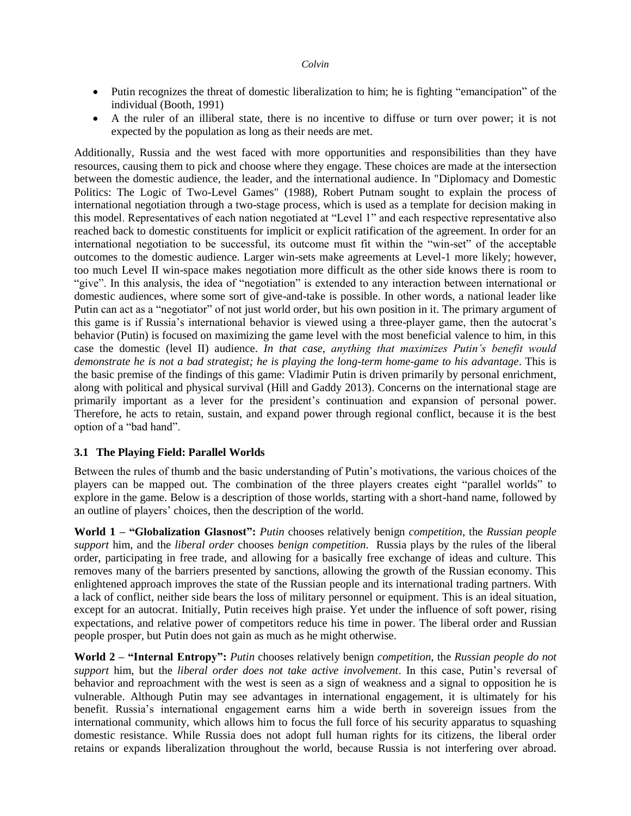- Putin recognizes the threat of domestic liberalization to him; he is fighting "emancipation" of the individual (Booth, 1991)
- A the ruler of an illiberal state, there is no incentive to diffuse or turn over power; it is not expected by the population as long as their needs are met.

Additionally, Russia and the west faced with more opportunities and responsibilities than they have resources, causing them to pick and choose where they engage. These choices are made at the intersection between the domestic audience, the leader, and the international audience. In "Diplomacy and Domestic Politics: The Logic of Two-Level Games" (1988), Robert Putnam sought to explain the process of international negotiation through a two-stage process, which is used as a template for decision making in this model. Representatives of each nation negotiated at "Level 1" and each respective representative also reached back to domestic constituents for implicit or explicit ratification of the agreement. In order for an international negotiation to be successful, its outcome must fit within the "win-set" of the acceptable outcomes to the domestic audience. Larger win-sets make agreements at Level-1 more likely; however, too much Level II win-space makes negotiation more difficult as the other side knows there is room to "give". In this analysis, the idea of "negotiation" is extended to any interaction between international or domestic audiences, where some sort of give-and-take is possible. In other words, a national leader like Putin can act as a "negotiator" of not just world order, but his own position in it. The primary argument of this game is if Russia's international behavior is viewed using a three-player game, then the autocrat's behavior (Putin) is focused on maximizing the game level with the most beneficial valence to him, in this case the domestic (level II) audience. *In that case, anything that maximizes Putin's benefit would demonstrate he is not a bad strategist; he is playing the long-term home-game to his advantage*. This is the basic premise of the findings of this game: Vladimir Putin is driven primarily by personal enrichment, along with political and physical survival (Hill and Gaddy 2013). Concerns on the international stage are primarily important as a lever for the president's continuation and expansion of personal power. Therefore, he acts to retain, sustain, and expand power through regional conflict, because it is the best option of a "bad hand".

## **3.1 The Playing Field: Parallel Worlds**

Between the rules of thumb and the basic understanding of Putin's motivations, the various choices of the players can be mapped out. The combination of the three players creates eight "parallel worlds" to explore in the game. Below is a description of those worlds, starting with a short-hand name, followed by an outline of players' choices, then the description of the world.

**World 1 – "Globalization Glasnost":** *Putin* chooses relatively benign *competition*, the *Russian people support* him, and the *liberal order* chooses *benign competition*. Russia plays by the rules of the liberal order, participating in free trade, and allowing for a basically free exchange of ideas and culture. This removes many of the barriers presented by sanctions, allowing the growth of the Russian economy. This enlightened approach improves the state of the Russian people and its international trading partners. With a lack of conflict, neither side bears the loss of military personnel or equipment. This is an ideal situation, except for an autocrat. Initially, Putin receives high praise. Yet under the influence of soft power, rising expectations, and relative power of competitors reduce his time in power. The liberal order and Russian people prosper, but Putin does not gain as much as he might otherwise.

**World 2 – "Internal Entropy":** *Putin* chooses relatively benign *competition*, the *Russian people do not support* him, but the *liberal order does not take active involvement*. In this case, Putin's reversal of behavior and reproachment with the west is seen as a sign of weakness and a signal to opposition he is vulnerable. Although Putin may see advantages in international engagement, it is ultimately for his benefit. Russia's international engagement earns him a wide berth in sovereign issues from the international community, which allows him to focus the full force of his security apparatus to squashing domestic resistance. While Russia does not adopt full human rights for its citizens, the liberal order retains or expands liberalization throughout the world, because Russia is not interfering over abroad.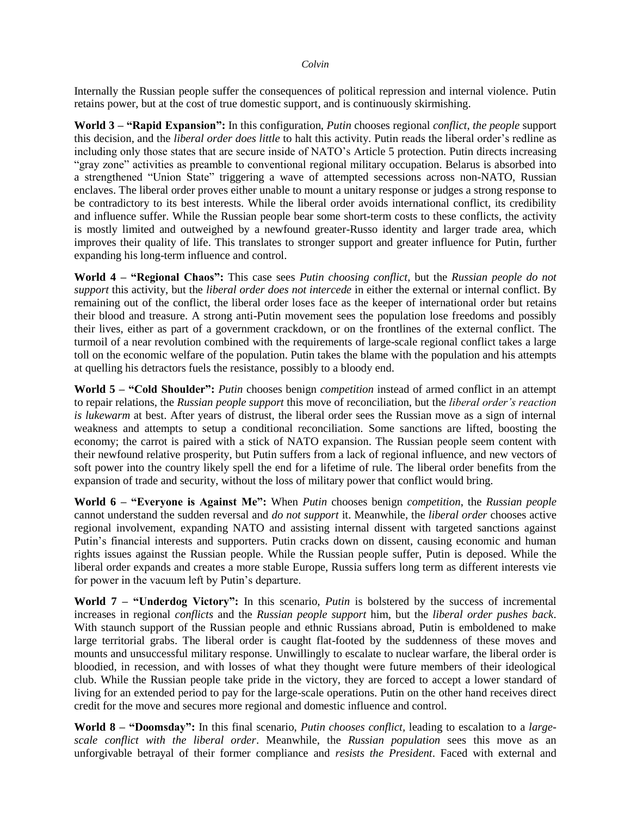Internally the Russian people suffer the consequences of political repression and internal violence. Putin retains power, but at the cost of true domestic support, and is continuously skirmishing.

**World 3 – "Rapid Expansion":** In this configuration, *Putin* chooses regional *conflict*, *the people* support this decision, and the *liberal order does little* to halt this activity. Putin reads the liberal order's redline as including only those states that are secure inside of NATO's Article 5 protection. Putin directs increasing "gray zone" activities as preamble to conventional regional military occupation. Belarus is absorbed into a strengthened "Union State" triggering a wave of attempted secessions across non-NATO, Russian enclaves. The liberal order proves either unable to mount a unitary response or judges a strong response to be contradictory to its best interests. While the liberal order avoids international conflict, its credibility and influence suffer. While the Russian people bear some short-term costs to these conflicts, the activity is mostly limited and outweighed by a newfound greater-Russo identity and larger trade area, which improves their quality of life. This translates to stronger support and greater influence for Putin, further expanding his long-term influence and control.

**World 4 – "Regional Chaos":** This case sees *Putin choosing conflict*, but the *Russian people do not support* this activity, but the *liberal order does not intercede* in either the external or internal conflict. By remaining out of the conflict, the liberal order loses face as the keeper of international order but retains their blood and treasure. A strong anti-Putin movement sees the population lose freedoms and possibly their lives, either as part of a government crackdown, or on the frontlines of the external conflict. The turmoil of a near revolution combined with the requirements of large-scale regional conflict takes a large toll on the economic welfare of the population. Putin takes the blame with the population and his attempts at quelling his detractors fuels the resistance, possibly to a bloody end.

**World 5 – "Cold Shoulder":** *Putin* chooses benign *competition* instead of armed conflict in an attempt to repair relations, the *Russian people support* this move of reconciliation, but the *liberal order's reaction is lukewarm* at best. After years of distrust, the liberal order sees the Russian move as a sign of internal weakness and attempts to setup a conditional reconciliation. Some sanctions are lifted, boosting the economy; the carrot is paired with a stick of NATO expansion. The Russian people seem content with their newfound relative prosperity, but Putin suffers from a lack of regional influence, and new vectors of soft power into the country likely spell the end for a lifetime of rule. The liberal order benefits from the expansion of trade and security, without the loss of military power that conflict would bring.

**World 6 – "Everyone is Against Me":** When *Putin* chooses benign *competition*, the *Russian people* cannot understand the sudden reversal and *do not support* it. Meanwhile, the *liberal order* chooses active regional involvement, expanding NATO and assisting internal dissent with targeted sanctions against Putin's financial interests and supporters. Putin cracks down on dissent, causing economic and human rights issues against the Russian people. While the Russian people suffer, Putin is deposed. While the liberal order expands and creates a more stable Europe, Russia suffers long term as different interests vie for power in the vacuum left by Putin's departure.

**World 7 – "Underdog Victory":** In this scenario, *Putin* is bolstered by the success of incremental increases in regional *conflicts* and the *Russian people support* him, but the *liberal order pushes back*. With staunch support of the Russian people and ethnic Russians abroad, Putin is emboldened to make large territorial grabs. The liberal order is caught flat-footed by the suddenness of these moves and mounts and unsuccessful military response. Unwillingly to escalate to nuclear warfare, the liberal order is bloodied, in recession, and with losses of what they thought were future members of their ideological club. While the Russian people take pride in the victory, they are forced to accept a lower standard of living for an extended period to pay for the large-scale operations. Putin on the other hand receives direct credit for the move and secures more regional and domestic influence and control.

**World 8 – "Doomsday":** In this final scenario, *Putin chooses conflict,* leading to escalation to a *largescale conflict with the liberal order*. Meanwhile, the *Russian population* sees this move as an unforgivable betrayal of their former compliance and *resists the President*. Faced with external and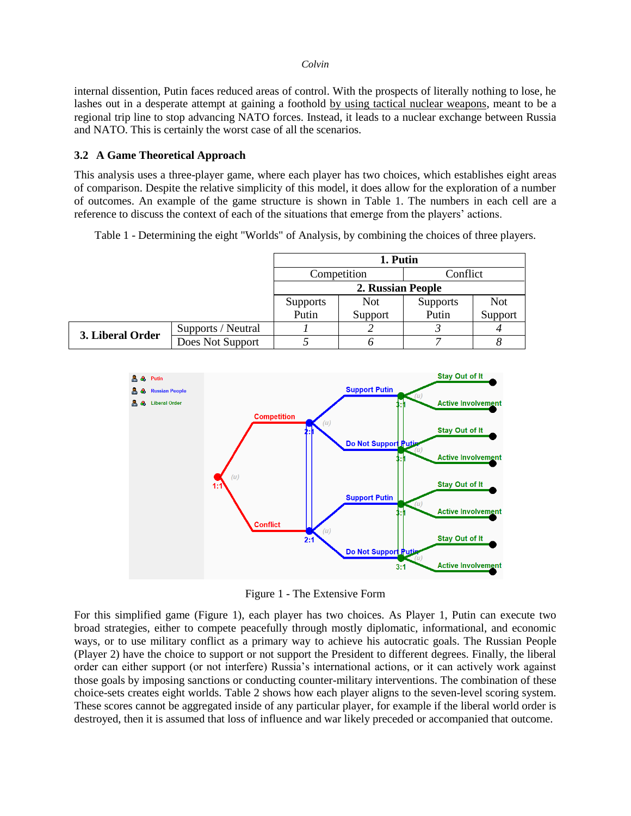internal dissention, Putin faces reduced areas of control. With the prospects of literally nothing to lose, he lashes out in a desperate attempt at gaining a foothold by using tactical nuclear weapons, meant to be a regional trip line to stop advancing NATO forces. Instead, it leads to a nuclear exchange between Russia and NATO. This is certainly the worst case of all the scenarios.

## **3.2 A Game Theoretical Approach**

This analysis uses a three-player game, where each player has two choices, which establishes eight areas of comparison. Despite the relative simplicity of this model, it does allow for the exploration of a number of outcomes. An example of the game structure is shown in Table 1. The numbers in each cell are a reference to discuss the context of each of the situations that emerge from the players' actions.

Table 1 - Determining the eight "Worlds" of Analysis, by combining the choices of three players.

|                  |                    | 1. Putin          |             |                 |            |
|------------------|--------------------|-------------------|-------------|-----------------|------------|
|                  |                    |                   | Competition | Conflict        |            |
|                  |                    | 2. Russian People |             |                 |            |
|                  |                    | <b>Supports</b>   | <b>Not</b>  | <b>Supports</b> | <b>Not</b> |
|                  |                    | Putin             | Support     | Putin           | Support    |
| 3. Liberal Order | Supports / Neutral |                   |             |                 |            |
|                  | Does Not Support   |                   |             |                 |            |



Figure 1 - The Extensive Form

For this simplified game (Figure 1), each player has two choices. As Player 1, Putin can execute two broad strategies, either to compete peacefully through mostly diplomatic, informational, and economic ways, or to use military conflict as a primary way to achieve his autocratic goals. The Russian People (Player 2) have the choice to support or not support the President to different degrees. Finally, the liberal order can either support (or not interfere) Russia's international actions, or it can actively work against those goals by imposing sanctions or conducting counter-military interventions. The combination of these choice-sets creates eight worlds. Table 2 shows how each player aligns to the seven-level scoring system. These scores cannot be aggregated inside of any particular player, for example if the liberal world order is destroyed, then it is assumed that loss of influence and war likely preceded or accompanied that outcome.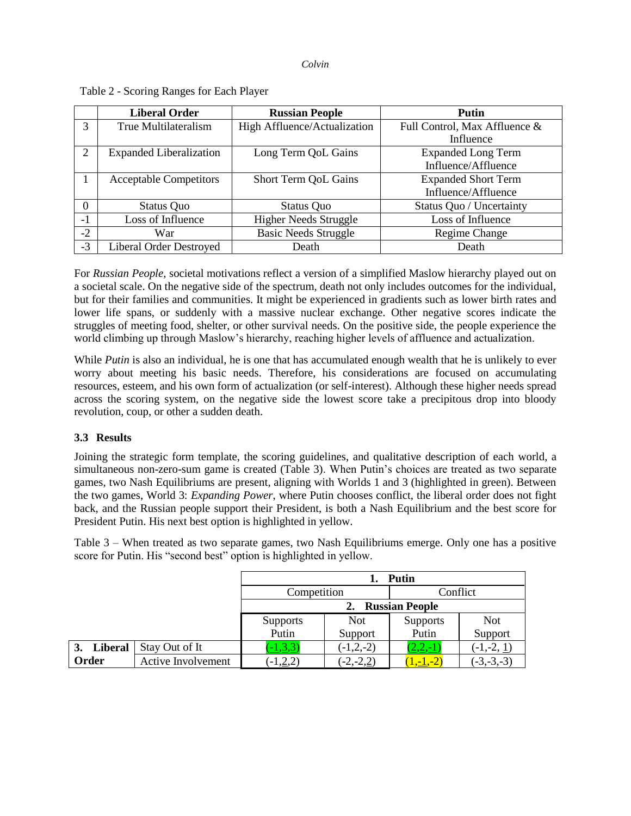|          | <b>Liberal Order</b>           | <b>Russian People</b>        | Putin                         |
|----------|--------------------------------|------------------------------|-------------------------------|
| 3        | True Multilateralism           | High Affluence/Actualization | Full Control, Max Affluence & |
|          |                                |                              | Influence                     |
| 2        | <b>Expanded Liberalization</b> | Long Term QoL Gains          | <b>Expanded Long Term</b>     |
|          |                                |                              | Influence/Affluence           |
|          | <b>Acceptable Competitors</b>  | Short Term QoL Gains         | <b>Expanded Short Term</b>    |
|          |                                |                              | Influence/Affluence           |
| $\Omega$ | Status Quo                     | Status Quo                   | Status Quo / Uncertainty      |
| $-1$     | Loss of Influence              | <b>Higher Needs Struggle</b> | Loss of Influence             |
| $-2$     | War                            | <b>Basic Needs Struggle</b>  | Regime Change                 |
| $-3$     | <b>Liberal Order Destroyed</b> | Death                        | Death                         |

## Table 2 - Scoring Ranges for Each Player

For *Russian People,* societal motivations reflect a version of a simplified Maslow hierarchy played out on a societal scale. On the negative side of the spectrum, death not only includes outcomes for the individual, but for their families and communities. It might be experienced in gradients such as lower birth rates and lower life spans, or suddenly with a massive nuclear exchange. Other negative scores indicate the struggles of meeting food, shelter, or other survival needs. On the positive side, the people experience the world climbing up through Maslow's hierarchy, reaching higher levels of affluence and actualization.

While *Putin* is also an individual, he is one that has accumulated enough wealth that he is unlikely to ever worry about meeting his basic needs. Therefore, his considerations are focused on accumulating resources, esteem, and his own form of actualization (or self-interest). Although these higher needs spread across the scoring system, on the negative side the lowest score take a precipitous drop into bloody revolution, coup, or other a sudden death.

## **3.3 Results**

Joining the strategic form template, the scoring guidelines, and qualitative description of each world, a simultaneous non-zero-sum game is created (Table 3). When Putin's choices are treated as two separate games, two Nash Equilibriums are present, aligning with Worlds 1 and 3 (highlighted in green). Between the two games, World 3: *Expanding Power*, where Putin chooses conflict, the liberal order does not fight back, and the Russian people support their President, is both a Nash Equilibrium and the best score for President Putin. His next best option is highlighted in yellow.

Table 3 – When treated as two separate games, two Nash Equilibriums emerge. Only one has a positive score for Putin. His "second best" option is highlighted in yellow.

|            |                    | <b>Putin</b>    |                       |                 |              |  |  |
|------------|--------------------|-----------------|-----------------------|-----------------|--------------|--|--|
|            |                    | Competition     |                       | Conflict        |              |  |  |
|            |                    |                 | <b>Russian People</b> |                 |              |  |  |
|            |                    | <b>Supports</b> | <b>Not</b>            | <b>Supports</b> | <b>Not</b>   |  |  |
|            |                    | Putin           | Support               | Putin           | Support      |  |  |
| 3. Liberal | Stay Out of It     | $[-1,3,3]$      | $-1,2,-2)$            | $\angle 2,-1$   | $(-1,-2, 1)$ |  |  |
| Order      | Active Involvement | $-1,2,2)$       | $(-2,-2,2)$           | $1,-1,-2$       | $(-3,-3,-3)$ |  |  |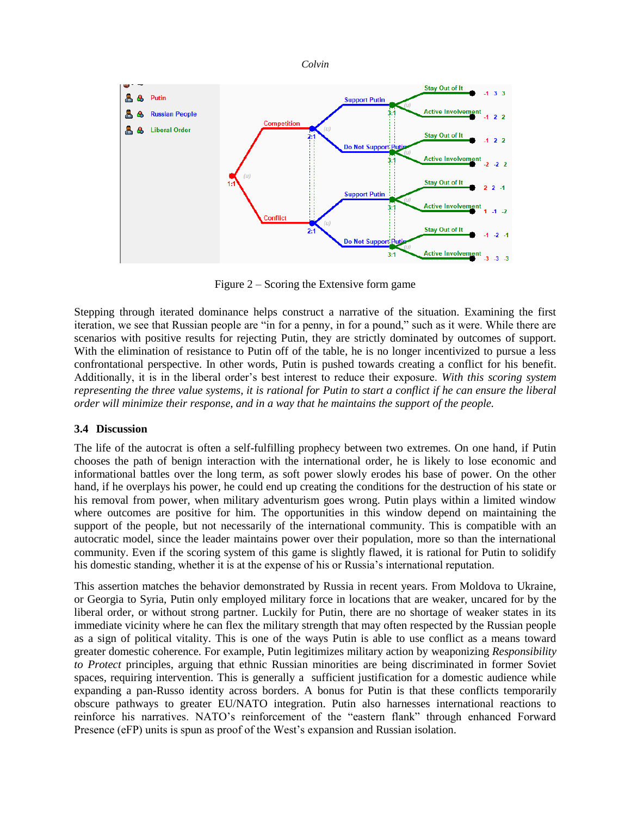

Figure 2 – Scoring the Extensive form game

Stepping through iterated dominance helps construct a narrative of the situation. Examining the first iteration, we see that Russian people are "in for a penny, in for a pound," such as it were. While there are scenarios with positive results for rejecting Putin, they are strictly dominated by outcomes of support. With the elimination of resistance to Putin off of the table, he is no longer incentivized to pursue a less confrontational perspective. In other words, Putin is pushed towards creating a conflict for his benefit. Additionally, it is in the liberal order's best interest to reduce their exposure. *With this scoring system representing the three value systems, it is rational for Putin to start a conflict if he can ensure the liberal order will minimize their response, and in a way that he maintains the support of the people.*

## **3.4 Discussion**

The life of the autocrat is often a self-fulfilling prophecy between two extremes. On one hand, if Putin chooses the path of benign interaction with the international order, he is likely to lose economic and informational battles over the long term, as soft power slowly erodes his base of power. On the other hand, if he overplays his power, he could end up creating the conditions for the destruction of his state or his removal from power, when military adventurism goes wrong. Putin plays within a limited window where outcomes are positive for him. The opportunities in this window depend on maintaining the support of the people, but not necessarily of the international community. This is compatible with an autocratic model, since the leader maintains power over their population, more so than the international community. Even if the scoring system of this game is slightly flawed, it is rational for Putin to solidify his domestic standing, whether it is at the expense of his or Russia's international reputation.

This assertion matches the behavior demonstrated by Russia in recent years. From Moldova to Ukraine, or Georgia to Syria, Putin only employed military force in locations that are weaker, uncared for by the liberal order, or without strong partner. Luckily for Putin, there are no shortage of weaker states in its immediate vicinity where he can flex the military strength that may often respected by the Russian people as a sign of political vitality. This is one of the ways Putin is able to use conflict as a means toward greater domestic coherence. For example, Putin legitimizes military action by weaponizing *Responsibility to Protect* principles, arguing that ethnic Russian minorities are being discriminated in former Soviet spaces, requiring intervention. This is generally a sufficient justification for a domestic audience while expanding a pan-Russo identity across borders. A bonus for Putin is that these conflicts temporarily obscure pathways to greater EU/NATO integration. Putin also harnesses international reactions to reinforce his narratives. NATO's reinforcement of the "eastern flank" through enhanced Forward Presence (eFP) units is spun as proof of the West's expansion and Russian isolation.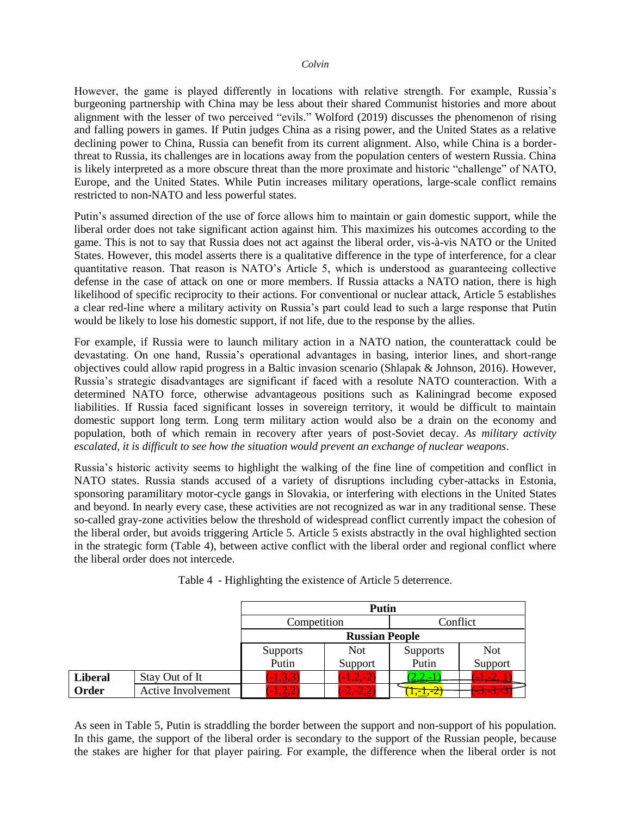However, the game is played differently in locations with relative strength. For example, Russia's burgeoning partnership with China may be less about their shared Communist histories and more about alignment with the lesser of two perceived "evils." Wolford (2019) discusses the phenomenon of rising and falling powers in games. If Putin judges China as a rising power, and the United States as a relative declining power to China, Russia can benefit from its current alignment. Also, while China is a borderthreat to Russia, its challenges are in locations away from the population centers of western Russia. China is likely interpreted as a more obscure threat than the more proximate and historic "challenge" of NATO, Europe, and the United States. While Putin increases military operations, large-scale conflict remains restricted to non-NATO and less powerful states.

Putin's assumed direction of the use of force allows him to maintain or gain domestic support, while the liberal order does not take significant action against him. This maximizes his outcomes according to the game. This is not to say that Russia does not act against the liberal order, vis-à-vis NATO or the United States. However, this model asserts there is a qualitative difference in the type of interference, for a clear quantitative reason. That reason is NATO's Article 5, which is understood as guaranteeing collective defense in the case of attack on one or more members. If Russia attacks a NATO nation, there is high likelihood of specific reciprocity to their actions. For conventional or nuclear attack, Article 5 establishes a clear red-line where a military activity on Russia's part could lead to such a large response that Putin would be likely to lose his domestic support, if not life, due to the response by the allies.

For example, if Russia were to launch military action in a NATO nation, the counterattack could be devastating. On one hand, Russia's operational advantages in basing, interior lines, and short-range objectives could allow rapid progress in a Baltic invasion scenario (Shlapak & Johnson, 2016). However, Russia's strategic disadvantages are significant if faced with a resolute NATO counteraction. With a determined NATO force, otherwise advantageous positions such as Kaliningrad become exposed liabilities. If Russia faced significant losses in sovereign territory, it would be difficult to maintain domestic support long term. Long term military action would also be a drain on the economy and population, both of which remain in recovery after years of post-Soviet decay. *As military activity escalated, it is difficult to see how the situation would prevent an exchange of nuclear weapons*.

Russia's historic activity seems to highlight the walking of the fine line of competition and conflict in NATO states. Russia stands accused of a variety of disruptions including cyber-attacks in Estonia, sponsoring paramilitary motor-cycle gangs in Slovakia, or interfering with elections in the United States and beyond. In nearly every case, these activities are not recognized as war in any traditional sense. These so-called gray-zone activities below the threshold of widespread conflict currently impact the cohesion of the liberal order, but avoids triggering Article 5. Article 5 exists abstractly in the oval highlighted section in the strategic form (Table 4), between active conflict with the liberal order and regional conflict where the liberal order does not intercede.

|                |                    | Putin           |                       |                                                 |                 |  |
|----------------|--------------------|-----------------|-----------------------|-------------------------------------------------|-----------------|--|
|                |                    | Competition     |                       | Conflict                                        |                 |  |
|                |                    |                 | <b>Russian People</b> |                                                 |                 |  |
|                |                    | <b>Supports</b> | <b>Not</b>            | <b>Supports</b>                                 | <b>Not</b>      |  |
|                |                    | Putin           | Support               | Putin                                           | Support         |  |
| <b>Liberal</b> | Stay Out of It     | $(-1,3,3)$      | $(-1, 2, -2)$         |                                                 |                 |  |
| Order          | Active Involvement | ے ک             |                       | $\cdot$ $\cdot$ $\cdot$ $\cdot$ $\cdot$ $\cdot$ | <u>-J.-J.-.</u> |  |

Table 4 - Highlighting the existence of Article 5 deterrence.

As seen in Table 5, Putin is straddling the border between the support and non-support of his population. In this game, the support of the liberal order is secondary to the support of the Russian people, because the stakes are higher for that player pairing. For example, the difference when the liberal order is not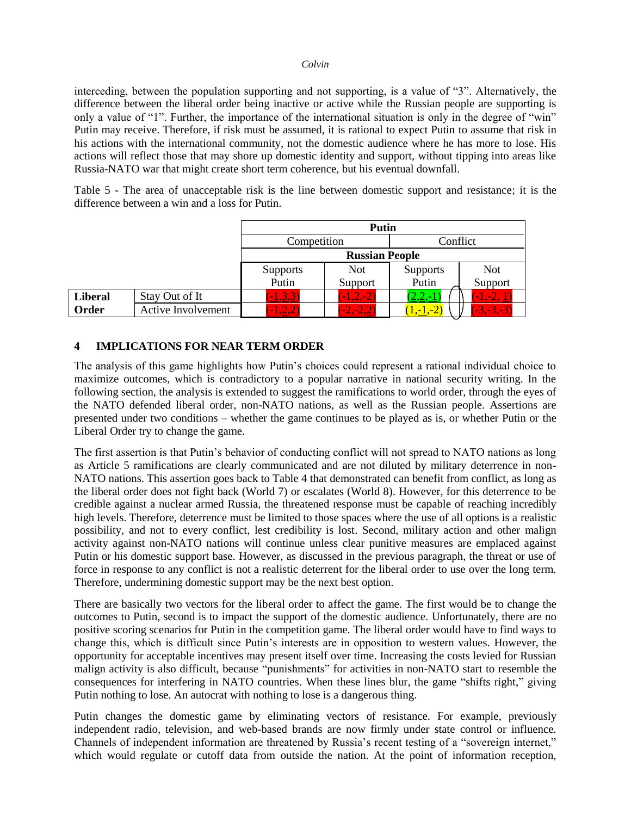interceding, between the population supporting and not supporting, is a value of "3". Alternatively, the difference between the liberal order being inactive or active while the Russian people are supporting is only a value of "1". Further, the importance of the international situation is only in the degree of "win" Putin may receive. Therefore, if risk must be assumed, it is rational to expect Putin to assume that risk in his actions with the international community, not the domestic audience where he has more to lose. His actions will reflect those that may shore up domestic identity and support, without tipping into areas like Russia-NATO war that might create short term coherence, but his eventual downfall.

Table 5 - The area of unacceptable risk is the line between domestic support and resistance; it is the difference between a win and a loss for Putin.

|                |                           | Putin           |                       |                 |                              |  |  |
|----------------|---------------------------|-----------------|-----------------------|-----------------|------------------------------|--|--|
|                |                           | Competition     |                       | Conflict        |                              |  |  |
|                |                           |                 | <b>Russian People</b> |                 |                              |  |  |
|                |                           | <b>Supports</b> | <b>Not</b>            | <b>Supports</b> | <b>Not</b>                   |  |  |
|                |                           | Putin           | Support               | Putin           | Support                      |  |  |
| <b>Liberal</b> | Stay Out of It            | , 3, 3          | $-1, 2, -2$           | <u>2,2,-1</u>   | $\overline{\mathbf{1},-2}$ . |  |  |
| Order          | <b>Active Involvement</b> | $-2$            | $2, -2, 27$           | $-1,-2$         | $-3,-3,-3$                   |  |  |

## **4 IMPLICATIONS FOR NEAR TERM ORDER**

The analysis of this game highlights how Putin's choices could represent a rational individual choice to maximize outcomes, which is contradictory to a popular narrative in national security writing. In the following section, the analysis is extended to suggest the ramifications to world order, through the eyes of the NATO defended liberal order, non-NATO nations, as well as the Russian people. Assertions are presented under two conditions – whether the game continues to be played as is, or whether Putin or the Liberal Order try to change the game.

The first assertion is that Putin's behavior of conducting conflict will not spread to NATO nations as long as Article 5 ramifications are clearly communicated and are not diluted by military deterrence in non-NATO nations. This assertion goes back to Table 4 that demonstrated can benefit from conflict, as long as the liberal order does not fight back (World 7) or escalates (World 8). However, for this deterrence to be credible against a nuclear armed Russia, the threatened response must be capable of reaching incredibly high levels. Therefore, deterrence must be limited to those spaces where the use of all options is a realistic possibility, and not to every conflict, lest credibility is lost. Second, military action and other malign activity against non-NATO nations will continue unless clear punitive measures are emplaced against Putin or his domestic support base. However, as discussed in the previous paragraph, the threat or use of force in response to any conflict is not a realistic deterrent for the liberal order to use over the long term. Therefore, undermining domestic support may be the next best option.

There are basically two vectors for the liberal order to affect the game. The first would be to change the outcomes to Putin, second is to impact the support of the domestic audience. Unfortunately, there are no positive scoring scenarios for Putin in the competition game. The liberal order would have to find ways to change this, which is difficult since Putin's interests are in opposition to western values. However, the opportunity for acceptable incentives may present itself over time. Increasing the costs levied for Russian malign activity is also difficult, because "punishments" for activities in non-NATO start to resemble the consequences for interfering in NATO countries. When these lines blur, the game "shifts right," giving Putin nothing to lose. An autocrat with nothing to lose is a dangerous thing.

Putin changes the domestic game by eliminating vectors of resistance. For example, previously independent radio, television, and web-based brands are now firmly under state control or influence. Channels of independent information are threatened by Russia's recent testing of a "sovereign internet," which would regulate or cutoff data from outside the nation. At the point of information reception,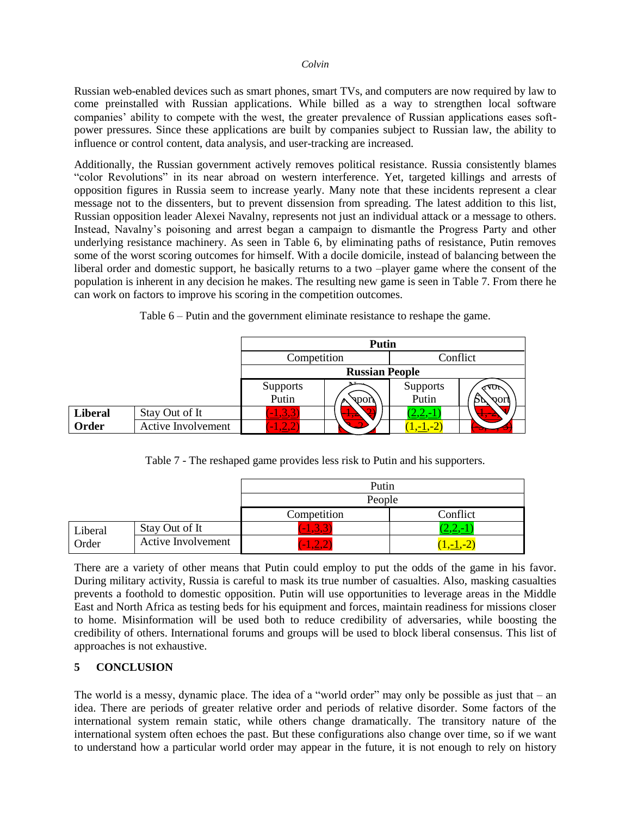Russian web-enabled devices such as smart phones, smart TVs, and computers are now required by law to come preinstalled with Russian applications. While billed as a way to strengthen local software companies' ability to compete with the west, the greater prevalence of Russian applications eases softpower pressures. Since these applications are built by companies subject to Russian law, the ability to influence or control content, data analysis, and user-tracking are increased.

Additionally, the Russian government actively removes political resistance. Russia consistently blames "color Revolutions" in its near abroad on western interference. Yet, targeted killings and arrests of opposition figures in Russia seem to increase yearly. Many note that these incidents represent a clear message not to the dissenters, but to prevent dissension from spreading. The latest addition to this list, Russian opposition leader Alexei Navalny, represents not just an individual attack or a message to others. Instead, Navalny's poisoning and arrest began a campaign to dismantle the Progress Party and other underlying resistance machinery. As seen in Table 6, by eliminating paths of resistance, Putin removes some of the worst scoring outcomes for himself. With a docile domicile, instead of balancing between the liberal order and domestic support, he basically returns to a two –player game where the consent of the population is inherent in any decision he makes. The resulting new game is seen in Table 7. From there he can work on factors to improve his scoring in the competition outcomes.

Table 6 – Putin and the government eliminate resistance to reshape the game.

|                |                    | <b>Putin</b>                         |                               |                   |                             |
|----------------|--------------------|--------------------------------------|-------------------------------|-------------------|-----------------------------|
|                |                    | Competition                          |                               |                   | Conflict                    |
|                |                    |                                      | <b>Russian People</b>         |                   |                             |
|                |                    | Supports                             |                               | Supports<br>Putin | ∢¶0া                        |
|                |                    | Putin                                | <b>Strong</b>                 |                   | vort                        |
| <b>Liberal</b> | Stay Out of It     | , 3, 3                               | $\mathbf{1} \cdot \mathbf{2}$ | $\sqrt{2}$        | $\mathbf{L}$ , $\mathbf{L}$ |
| Order          | Active Involvement | $\overline{\mathbf{v}}$ $\mathbf{A}$ |                               | $[-1,-2]$         |                             |

Table 7 - The reshaped game provides less risk to Putin and his supporters.

|         |                    | Putin          |                           |  |  |
|---------|--------------------|----------------|---------------------------|--|--|
|         |                    | People         |                           |  |  |
|         |                    | Competition    | Conflict                  |  |  |
| Liberal | Stay Out of It     | $\blacksquare$ | $\epsilon L, L, \epsilon$ |  |  |
| Order   | Active Involvement | 2,2<br>$\sim$  | $(-2)$<br>$1 - 1.$        |  |  |

There are a variety of other means that Putin could employ to put the odds of the game in his favor. During military activity, Russia is careful to mask its true number of casualties. Also, masking casualties prevents a foothold to domestic opposition. Putin will use opportunities to leverage areas in the Middle East and North Africa as testing beds for his equipment and forces, maintain readiness for missions closer to home. Misinformation will be used both to reduce credibility of adversaries, while boosting the credibility of others. International forums and groups will be used to block liberal consensus. This list of approaches is not exhaustive.

## **5 CONCLUSION**

The world is a messy, dynamic place. The idea of a "world order" may only be possible as just that – an idea. There are periods of greater relative order and periods of relative disorder. Some factors of the international system remain static, while others change dramatically. The transitory nature of the international system often echoes the past. But these configurations also change over time, so if we want to understand how a particular world order may appear in the future, it is not enough to rely on history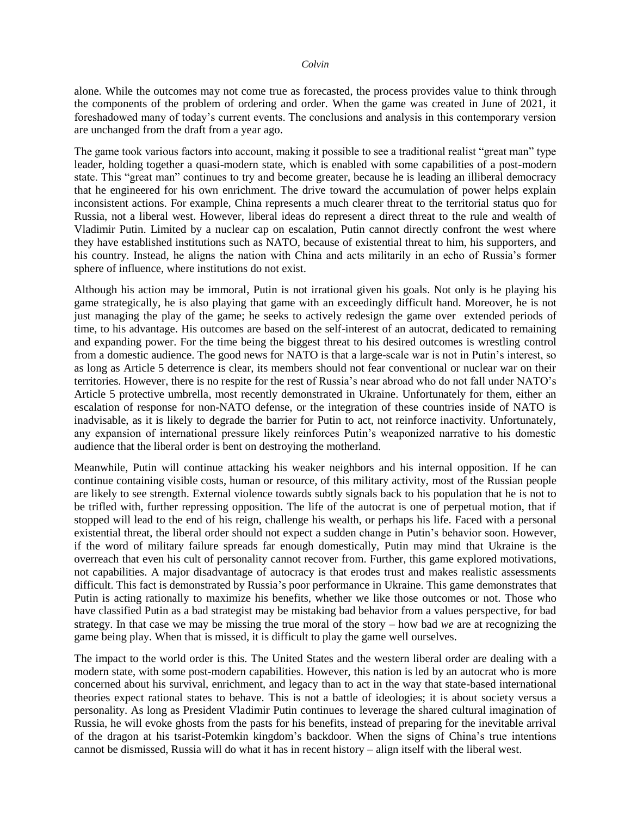alone. While the outcomes may not come true as forecasted, the process provides value to think through the components of the problem of ordering and order. When the game was created in June of 2021, it foreshadowed many of today's current events. The conclusions and analysis in this contemporary version are unchanged from the draft from a year ago.

The game took various factors into account, making it possible to see a traditional realist "great man" type leader, holding together a quasi-modern state, which is enabled with some capabilities of a post-modern state. This "great man" continues to try and become greater, because he is leading an illiberal democracy that he engineered for his own enrichment. The drive toward the accumulation of power helps explain inconsistent actions. For example, China represents a much clearer threat to the territorial status quo for Russia, not a liberal west. However, liberal ideas do represent a direct threat to the rule and wealth of Vladimir Putin. Limited by a nuclear cap on escalation, Putin cannot directly confront the west where they have established institutions such as NATO, because of existential threat to him, his supporters, and his country. Instead, he aligns the nation with China and acts militarily in an echo of Russia's former sphere of influence, where institutions do not exist.

Although his action may be immoral, Putin is not irrational given his goals. Not only is he playing his game strategically, he is also playing that game with an exceedingly difficult hand. Moreover, he is not just managing the play of the game; he seeks to actively redesign the game over extended periods of time, to his advantage. His outcomes are based on the self-interest of an autocrat, dedicated to remaining and expanding power. For the time being the biggest threat to his desired outcomes is wrestling control from a domestic audience. The good news for NATO is that a large-scale war is not in Putin's interest, so as long as Article 5 deterrence is clear, its members should not fear conventional or nuclear war on their territories. However, there is no respite for the rest of Russia's near abroad who do not fall under NATO's Article 5 protective umbrella, most recently demonstrated in Ukraine. Unfortunately for them, either an escalation of response for non-NATO defense, or the integration of these countries inside of NATO is inadvisable, as it is likely to degrade the barrier for Putin to act, not reinforce inactivity. Unfortunately, any expansion of international pressure likely reinforces Putin's weaponized narrative to his domestic audience that the liberal order is bent on destroying the motherland.

Meanwhile, Putin will continue attacking his weaker neighbors and his internal opposition. If he can continue containing visible costs, human or resource, of this military activity, most of the Russian people are likely to see strength. External violence towards subtly signals back to his population that he is not to be trifled with, further repressing opposition. The life of the autocrat is one of perpetual motion, that if stopped will lead to the end of his reign, challenge his wealth, or perhaps his life. Faced with a personal existential threat, the liberal order should not expect a sudden change in Putin's behavior soon. However, if the word of military failure spreads far enough domestically, Putin may mind that Ukraine is the overreach that even his cult of personality cannot recover from. Further, this game explored motivations, not capabilities. A major disadvantage of autocracy is that erodes trust and makes realistic assessments difficult. This fact is demonstrated by Russia's poor performance in Ukraine. This game demonstrates that Putin is acting rationally to maximize his benefits, whether we like those outcomes or not. Those who have classified Putin as a bad strategist may be mistaking bad behavior from a values perspective, for bad strategy. In that case we may be missing the true moral of the story – how bad *we* are at recognizing the game being play. When that is missed, it is difficult to play the game well ourselves.

The impact to the world order is this. The United States and the western liberal order are dealing with a modern state, with some post-modern capabilities. However, this nation is led by an autocrat who is more concerned about his survival, enrichment, and legacy than to act in the way that state-based international theories expect rational states to behave. This is not a battle of ideologies; it is about society versus a personality. As long as President Vladimir Putin continues to leverage the shared cultural imagination of Russia, he will evoke ghosts from the pasts for his benefits, instead of preparing for the inevitable arrival of the dragon at his tsarist-Potemkin kingdom's backdoor. When the signs of China's true intentions cannot be dismissed, Russia will do what it has in recent history – align itself with the liberal west.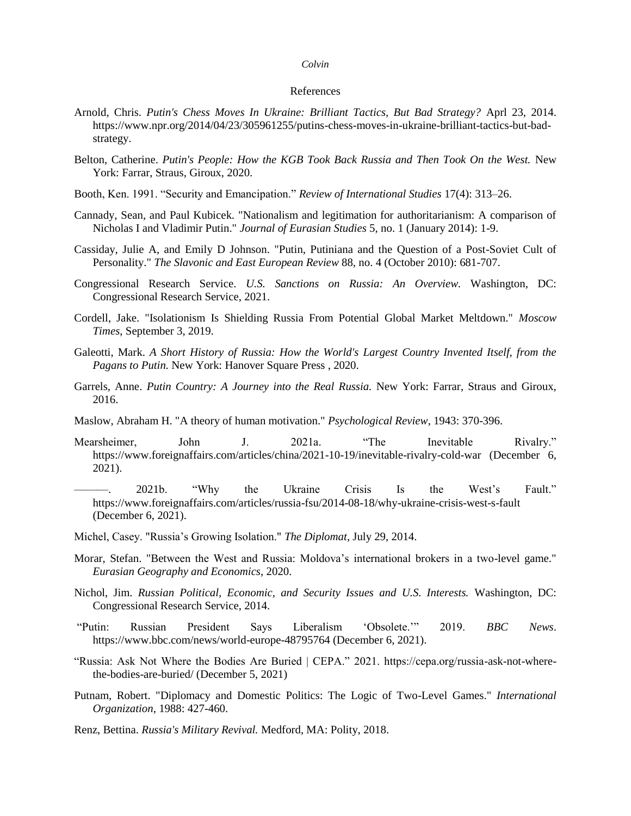#### References

- Arnold, Chris. *Putin's Chess Moves In Ukraine: Brilliant Tactics, But Bad Strategy?* Aprl 23, 2014. https://www.npr.org/2014/04/23/305961255/putins-chess-moves-in-ukraine-brilliant-tactics-but-badstrategy.
- Belton, Catherine. *Putin's People: How the KGB Took Back Russia and Then Took On the West.* New York: Farrar, Straus, Giroux, 2020.
- Booth, Ken. 1991. "Security and Emancipation." *Review of International Studies* 17(4): 313–26.
- Cannady, Sean, and Paul Kubicek. "Nationalism and legitimation for authoritarianism: A comparison of Nicholas I and Vladimir Putin." *Journal of Eurasian Studies* 5, no. 1 (January 2014): 1-9.
- Cassiday, Julie A, and Emily D Johnson. "Putin, Putiniana and the Question of a Post-Soviet Cult of Personality." *The Slavonic and East European Review* 88, no. 4 (October 2010): 681-707.
- Congressional Research Service. *U.S. Sanctions on Russia: An Overview.* Washington, DC: Congressional Research Service, 2021.
- Cordell, Jake. "Isolationism Is Shielding Russia From Potential Global Market Meltdown." *Moscow Times*, September 3, 2019.
- Galeotti, Mark. *A Short History of Russia: How the World's Largest Country Invented Itself, from the Pagans to Putin.* New York: Hanover Square Press , 2020.
- Garrels, Anne. *Putin Country: A Journey into the Real Russia.* New York: Farrar, Straus and Giroux, 2016.
- Maslow, Abraham H. "A theory of human motivation." *Psychological Review*, 1943: 370-396.
- Mearsheimer, John J. 2021a. "The Inevitable Rivalry." https://www.foreignaffairs.com/articles/china/2021-10-19/inevitable-rivalry-cold-war (December 6, 2021).
- ———. 2021b. "Why the Ukraine Crisis Is the West's Fault." https://www.foreignaffairs.com/articles/russia-fsu/2014-08-18/why-ukraine-crisis-west-s-fault (December 6, 2021).
- Michel, Casey. "Russia's Growing Isolation." *The Diplomat*, July 29, 2014.
- Morar, Stefan. "Between the West and Russia: Moldova's international brokers in a two-level game." *Eurasian Geography and Economics*, 2020.
- Nichol, Jim. *Russian Political, Economic, and Security Issues and U.S. Interests.* Washington, DC: Congressional Research Service, 2014.
- "Putin: Russian President Says Liberalism 'Obsolete.'" 2019. *BBC News*. https://www.bbc.com/news/world-europe-48795764 (December 6, 2021).
- "Russia: Ask Not Where the Bodies Are Buried | CEPA." 2021. https://cepa.org/russia-ask-not-wherethe-bodies-are-buried/ (December 5, 2021)
- Putnam, Robert. "Diplomacy and Domestic Politics: The Logic of Two-Level Games." *International Organization*, 1988: 427-460.

Renz, Bettina. *Russia's Military Revival.* Medford, MA: Polity, 2018.